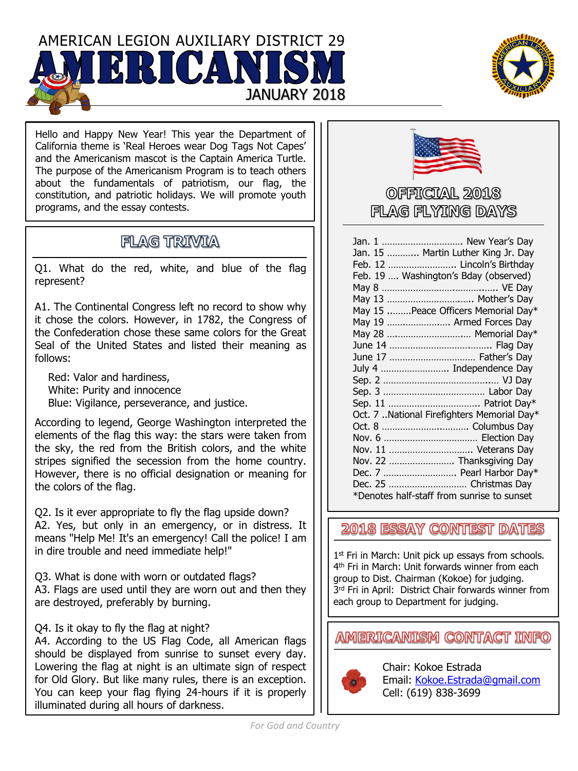AMERICAN LEGION AUXILIARY DISTRICT 29 JANUARY 2018



Hello and Happy New Year! This year the Department of California theme is 'Real Heroes wear Dog Tags Not Capes' and the Americanism mascot is the Captain America Turtle. The purpose of the Americanism Program is to teach others about the fundamentals of patriotism, our flag, the constitution, and patriotic holidays. We will promote youth programs, and the essay contests.

## **FLAG TRIVIA**

Q1. What do the red, white, and blue of the flag represent?

A1. The Continental Congress left no record to show why it chose the colors. However, in 1782, the Congress of the Confederation chose these same colors for the Great Seal of the United States and listed their meaning as follows:

Red: Valor and hardiness, White: Purity and innocence Blue: Vigilance, perseverance, and justice.

According to legend, George Washington interpreted the elements of the flag this way: the stars were taken from the sky, the red from the British colors, and the white stripes signified the secession from the home country. However, there is no official designation or meaning for the colors of the flag.

Q2. Is it ever appropriate to fly the flag upside down? A2. Yes, but only in an emergency, or in distress. It means "Help Me! It's an emergency! Call the police! I am in dire trouble and need immediate help!"

Q3. What is done with worn or outdated flags? A3. Flags are used until they are worn out and then they are destroyed, preferably by burning.

## Q4. Is it okay to fly the flag at night?

A4. According to the US Flag Code, all American flags should be displayed from sunrise to sunset every day. Lowering the flag at night is an ultimate sign of respect for Old Glory. But like many rules, there is an exception. You can keep your flag flying 24-hours if it is properly illuminated during all hours of darkness.



OFFICIAL 2018 FLAG FLYTING DAYS

| Jan. 1  New Year's Day                     |
|--------------------------------------------|
| Jan. 15  Martin Luther King Jr. Day        |
| Feb. 12  Lincoln's Birthday                |
| Feb. 19  Washington's Bday (observed)      |
|                                            |
| May 13  Mother's Day                       |
| May 15  Peace Officers Memorial Day*       |
| May 19  Armed Forces Day                   |
| May 28  Memorial Day*                      |
|                                            |
| June 17  Father's Day                      |
| July 4  Independence Day                   |
|                                            |
|                                            |
|                                            |
| Oct. 7 National Firefighters Memorial Day* |
|                                            |
|                                            |
| Nov. 11  Veterans Day                      |
| Nov. 22  Thanksgiving Day                  |
| Dec. 7  Pearl Harbor Day*                  |
| Dec. 25  Christmas Day                     |
| *Denotes half-staff from sunrise to sunset |

2018 ESSAY CONTEST DATES

1<sup>st</sup> Fri in March: Unit pick up essays from schools. 4 th Fri in March: Unit forwards winner from each group to Dist. Chairman (Kokoe) for judging. 3 rd Fri in April: District Chair forwards winner from each group to Department for judging.

**AMERICANISM CONTACT INFO** 



Chair: Kokoe Estrada Email: [Kokoe.Estrada@gmail.com](mailto:Kokoe.Estrada@gmail.com) Cell: (619) 838-3699